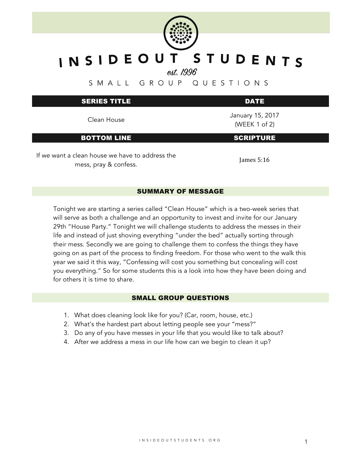

## INSIDEOUT STUDENTS

est. 1996

SMALL GROUP QUESTIONS

| <b>SERIES TITLE</b>                                                      | <b>DATE</b>                            |  |
|--------------------------------------------------------------------------|----------------------------------------|--|
| Clean House                                                              | January 15, 2017<br>(WEEK $1$ of $2$ ) |  |
| <b>BOTTOM LINE</b>                                                       | <b>SCRIPTURE</b>                       |  |
| If we want a clean house we have to address the<br>mess, pray & confess. | James $5:16$                           |  |

## SUMMARY OF MESSAGE

Tonight we are starting a series called "Clean House" which is a two-week series that will serve as both a challenge and an opportunity to invest and invite for our January 29th "House Party." Tonight we will challenge students to address the messes in their life and instead of just shoving everything "under the bed" actually sorting through their mess. Secondly we are going to challenge them to confess the things they have going on as part of the process to finding freedom. For those who went to the walk this year we said it this way, "Confessing will cost you something but concealing will cost you everything." So for some students this is a look into how they have been doing and for others it is time to share.

## SMALL GROUP QUESTIONS

- 1. What does cleaning look like for you? (Car, room, house, etc.)
- 2. What's the hardest part about letting people see your "mess?"
- 3. Do any of you have messes in your life that you would like to talk about?
- 4. After we address a mess in our life how can we begin to clean it up?